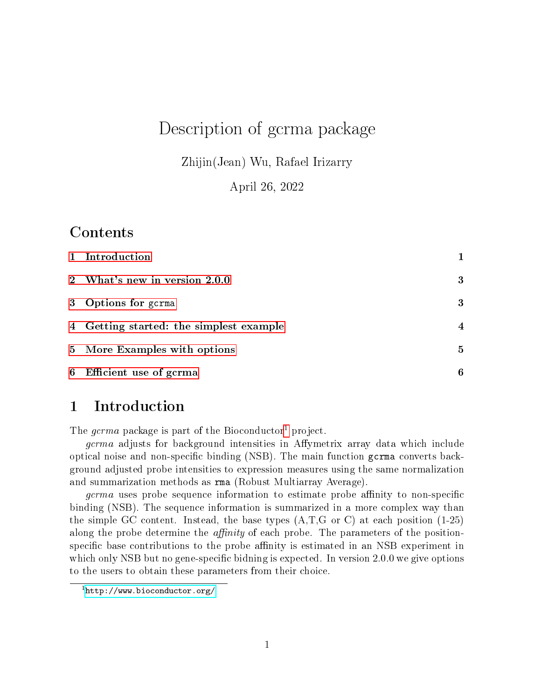# Description of gcrma package

Zhijin(Jean) Wu, Rafael Irizarry

April 26, 2022

### Contents

| 1 Introduction                          |                |
|-----------------------------------------|----------------|
| 2 What's new in version 2.0.0           | 3              |
| 3 Options for gcrma                     | 3              |
| 4 Getting started: the simplest example | $\overline{4}$ |
| 5 More Examples with options            | $\mathbf{5}$   |
| 6 Efficient use of gcrma                | 6              |

# <span id="page-0-0"></span>1 Introduction

The *gcrma* package is part of the Bioconductor<sup>[1](#page-0-1)</sup> project.

*gcrma* adjusts for background intensities in Affymetrix array data which include optical noise and non-specific binding (NSB). The main function gcrma converts background adjusted probe intensities to expression measures using the same normalization and summarization methods as rma (Robust Multiarray Average).

germa uses probe sequence information to estimate probe affinity to non-specific binding (NSB). The sequence information is summarized in a more complex way than the simple GC content. Instead, the base types  $(A,T,G \text{ or } C)$  at each position  $(1-25)$ along the probe determine the *affinity* of each probe. The parameters of the positionspecific base contributions to the probe affinity is estimated in an NSB experiment in which only NSB but no gene-specific bidning is expected. In version  $2.0.0$  we give options to the users to obtain these parameters from their choice.

<span id="page-0-1"></span><sup>1</sup><http://www.bioconductor.org/>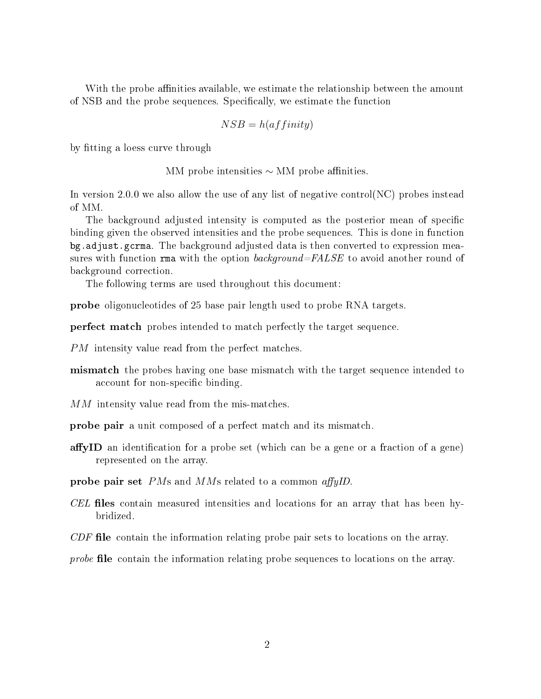With the probe affinities available, we estimate the relationship between the amount of NSB and the probe sequences. Specifically, we estimate the function

$$
NSB = h(affinity)
$$

by tting a loess curve through

MM probe intensities  $\sim$  MM probe affinities.

In version 2.0.0 we also allow the use of any list of negative control(NC) probes instead of MM.

The background adjusted intensity is computed as the posterior mean of specific binding given the observed intensities and the probe sequences. This is done in function bg.adjust.gcrma. The background adjusted data is then converted to expression measures with function rma with the option background=FALSE to avoid another round of background correction.

The following terms are used throughout this document:

probe oligonucleotides of 25 base pair length used to probe RNA targets.

perfect match probes intended to match perfectly the target sequence.

PM intensity value read from the perfect matches.

- **mismatch** the probes having one base mismatch with the target sequence intended to account for non-specific binding.
- MM intensity value read from the mis-matches.
- probe pair a unit composed of a perfect match and its mismatch.
- affyID an identification for a probe set (which can be a gene or a fraction of a gene) represented on the array.

**probe pair set** PMs and MMs related to a common affyID.

 $CEL$  files contain measured intensities and locations for an array that has been hybridized.

 $CDF$  file contain the information relating probe pair sets to locations on the array.

probe file contain the information relating probe sequences to locations on the array.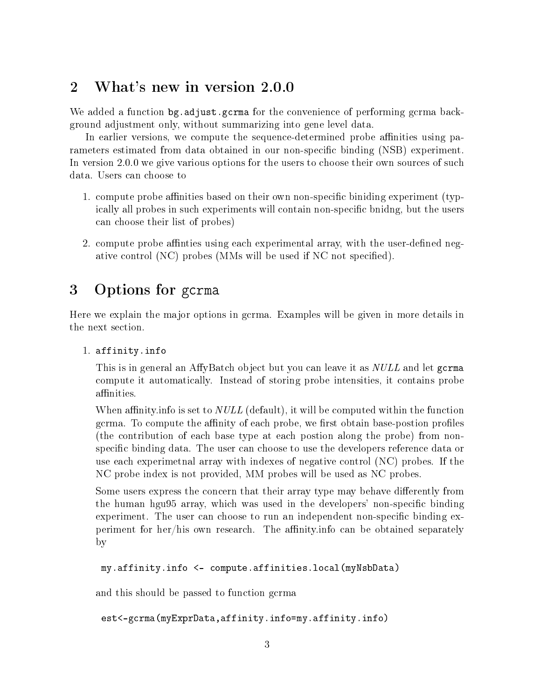## <span id="page-2-0"></span>2 What's new in version 2.0.0

We added a function bg.adjust.gcrma for the convenience of performing gcrma background adjustment only, without summarizing into gene level data.

In earlier versions, we compute the sequence-determined probe affinities using parameters estimated from data obtained in our non-specific binding (NSB) experiment. In version 2.0.0 we give various options for the users to choose their own sources of such data. Users can choose to

- 1. compute probe affinities based on their own non-specific biniding experiment (typically all probes in such experiments will contain non-specific bnidng, but the users can choose their list of probes)
- 2. compute probe affinities using each experimental array, with the user-defined negative control (NC) probes (MMs will be used if NC not specified).

# <span id="page-2-1"></span>3 Options for gcrma

Here we explain the major options in gcrma. Examples will be given in more details in the next section.

1. affinity.info

This is in general an AffyBatch object but you can leave it as *NULL* and let gcrma compute it automatically. Instead of storing probe intensities, it contains probe affinities.

When affinity. info is set to  $NULL$  (default), it will be computed within the function gcrma. To compute the affinity of each probe, we first obtain base-postion profiles (the contribution of each base type at each postion along the probe) from nonspecific binding data. The user can choose to use the developers reference data or use each experimetnal array with indexes of negative control (NC) probes. If the NC probe index is not provided, MM probes will be used as NC probes.

Some users express the concern that their array type may behave differently from the human hgu95 array, which was used in the developers' non-specific binding experiment. The user can choose to run an independent non-specific binding experiment for her/his own research. The affinity info can be obtained separately by

```
my.affinity.info <- compute.affinities.local(myNsbData)
```
and this should be passed to function gcrma

```
est<-gcrma(myExprData,affinity.info=my.affinity.info)
```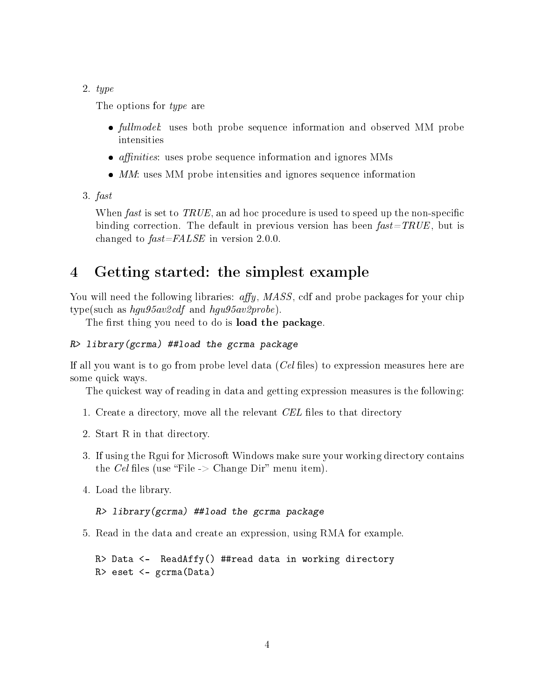#### 2. type

The options for type are

- *fullmodel*: uses both probe sequence information and observed MM probe intensities
- $\bullet$  *affinities*: uses probe sequence information and ignores MMs
- $\bullet$  MM: uses MM probe intensities and ignores sequence information
- 3. fast

When fast is set to TRUE, an ad hoc procedure is used to speed up the non-specific binding correction. The default in previous version has been  $fast = TRUE$ , but is changed to  $fast = FALSE$  in version 2.0.0.

# <span id="page-3-0"></span>4 Getting started: the simplest example

You will need the following libraries: affy, MASS, cdf and probe packages for your chip type(such as  $hgu95av2cdf$  and  $hgu95av2probe$ ).

The first thing you need to do is load the package.

#### R> library(gcrma) ##load the gcrma package

If all you want is to go from probe level data  $(Cel$  files) to expression measures here are some quick ways.

The quickest way of reading in data and getting expression measures is the following:

- 1. Create a directory, move all the relevant CEL files to that directory
- 2. Start R in that directory.
- 3. If using the Rgui for Microsoft Windows make sure your working directory contains the Cel files (use "File  $\geq$  Change Dir" menu item).
- 4. Load the library.

R> library(gcrma) ##load the gcrma package

5. Read in the data and create an expression, using RMA for example.

```
R> Data <- ReadAffy() ##read data in working directory
R> eset <- gcrma(Data)
```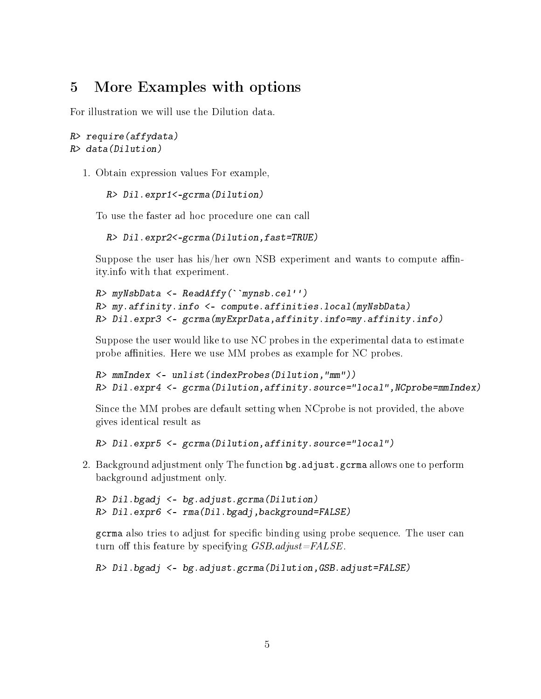## <span id="page-4-0"></span>5 More Examples with options

For illustration we will use the Dilution data.

#### R> require(affydata) R> data(Dilution)

1. Obtain expression values For example,

```
R> Dil.expr1<-gcrma(Dilution)
```
To use the faster ad hoc procedure one can call

R> Dil.expr2<-gcrma(Dilution,fast=TRUE)

Suppose the user has his/her own NSB experiment and wants to compute affinity.info with that experiment.

```
R> myNsbData <- ReadAffy(``mynsb.cel'')
R> my.affinity.info <- compute.affinities.local(myNsbData)
R> Dil.expr3 <- gcrma(myExprData,affinity.info=my.affinity.info)
```
Suppose the user would like to use NC probes in the experimental data to estimate probe affinities. Here we use MM probes as example for NC probes.

```
R> mmIndex <- unlist(indexProbes(Dilution,"mm"))
R> Dil.expr4 <- gcrma(Dilution,affinity.source="local",NCprobe=mmIndex)
```
Since the MM probes are default setting when NCprobe is not provided, the above gives identical result as

R> Dil.expr5 <- gcrma(Dilution,affinity.source="local")

2. Background adjustment only The function bg. adjust.gcrma allows one to perform background adjustment only.

```
R> Dil.bgadj <- bg.adjust.gcrma(Dilution)
R> Dil.expr6 <- rma(Dil.bgadj,background=FALSE)
```
gcrma also tries to adjust for specific binding using probe sequence. The user can turn off this feature by specifying  $GSB$ .adjust=FALSE.

R> Dil.bgadj <- bg.adjust.gcrma(Dilution,GSB.adjust=FALSE)